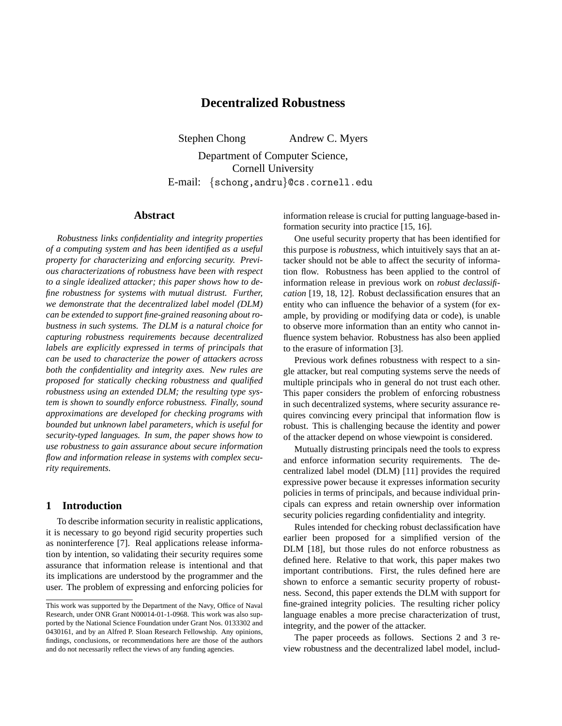# **Decentralized Robustness**

Stephen Chong Andrew C. Myers

Department of Computer Science, Cornell University E-mail: {schong,andru}@cs.cornell.edu

# **Abstract**

*Robustness links confidentiality and integrity properties of a computing system and has been identified as a useful property for characterizing and enforcing security. Previous characterizations of robustness have been with respect to a single idealized attacker; this paper shows how to define robustness for systems with mutual distrust. Further, we demonstrate that the decentralized label model (DLM) can be extended to support fine-grained reasoning about robustness in such systems. The DLM is a natural choice for capturing robustness requirements because decentralized labels are explicitly expressed in terms of principals that can be used to characterize the power of attackers across both the confidentiality and integrity axes. New rules are proposed for statically checking robustness and qualified robustness using an extended DLM; the resulting type system is shown to soundly enforce robustness. Finally, sound approximations are developed for checking programs with bounded but unknown label parameters, which is useful for security-typed languages. In sum, the paper shows how to use robustness to gain assurance about secure information flow and information release in systems with complex security requirements.*

### **1 Introduction**

To describe information security in realistic applications, it is necessary to go beyond rigid security properties such as noninterference [7]. Real applications release information by intention, so validating their security requires some assurance that information release is intentional and that its implications are understood by the programmer and the user. The problem of expressing and enforcing policies for information release is crucial for putting language-based information security into practice [15, 16].

One useful security property that has been identified for this purpose is *robustness*, which intuitively says that an attacker should not be able to affect the security of information flow. Robustness has been applied to the control of information release in previous work on *robust declassification* [19, 18, 12]. Robust declassification ensures that an entity who can influence the behavior of a system (for example, by providing or modifying data or code), is unable to observe more information than an entity who cannot influence system behavior. Robustness has also been applied to the erasure of information [3].

Previous work defines robustness with respect to a single attacker, but real computing systems serve the needs of multiple principals who in general do not trust each other. This paper considers the problem of enforcing robustness in such decentralized systems, where security assurance requires convincing every principal that information flow is robust. This is challenging because the identity and power of the attacker depend on whose viewpoint is considered.

Mutually distrusting principals need the tools to express and enforce information security requirements. The decentralized label model (DLM) [11] provides the required expressive power because it expresses information security policies in terms of principals, and because individual principals can express and retain ownership over information security policies regarding confidentiality and integrity.

Rules intended for checking robust declassification have earlier been proposed for a simplified version of the DLM [18], but those rules do not enforce robustness as defined here. Relative to that work, this paper makes two important contributions. First, the rules defined here are shown to enforce a semantic security property of robustness. Second, this paper extends the DLM with support for fine-grained integrity policies. The resulting richer policy language enables a more precise characterization of trust, integrity, and the power of the attacker.

The paper proceeds as follows. Sections 2 and 3 review robustness and the decentralized label model, includ-

This work was supported by the Department of the Navy, Office of Naval Research, under ONR Grant N00014-01-1-0968. This work was also supported by the National Science Foundation under Grant Nos. 0133302 and 0430161, and by an Alfred P. Sloan Research Fellowship. Any opinions, findings, conclusions, or recommendations here are those of the authors and do not necessarily reflect the views of any funding agencies.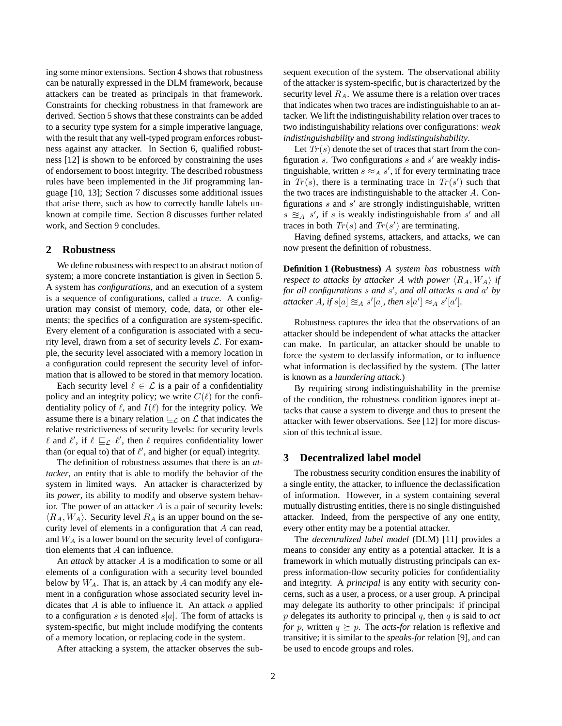ing some minor extensions. Section 4 shows that robustness can be naturally expressed in the DLM framework, because attackers can be treated as principals in that framework. Constraints for checking robustness in that framework are derived. Section 5 shows that these constraints can be added to a security type system for a simple imperative language, with the result that any well-typed program enforces robustness against any attacker. In Section 6, qualified robustness [12] is shown to be enforced by constraining the uses of endorsement to boost integrity. The described robustness rules have been implemented in the Jif programming language [10, 13]; Section 7 discusses some additional issues that arise there, such as how to correctly handle labels unknown at compile time. Section 8 discusses further related work, and Section 9 concludes.

### **2 Robustness**

We define robustness with respect to an abstract notion of system; a more concrete instantiation is given in Section 5. A system has *configurations*, and an execution of a system is a sequence of configurations, called a *trace*. A configuration may consist of memory, code, data, or other elements; the specifics of a configuration are system-specific. Every element of a configuration is associated with a security level, drawn from a set of security levels L. For example, the security level associated with a memory location in a configuration could represent the security level of information that is allowed to be stored in that memory location.

Each security level  $\ell \in \mathcal{L}$  is a pair of a confidentiality policy and an integrity policy; we write  $C(\ell)$  for the confidentiality policy of  $\ell$ , and  $I(\ell)$  for the integrity policy. We assume there is a binary relation  $\sqsubseteq_{\mathcal{L}}$  on  $\mathcal L$  that indicates the relative restrictiveness of security levels: for security levels  $\ell$  and  $\ell'$ , if  $\ell \sqsubseteq_{\mathcal{L}} \ell'$ , then  $\ell$  requires confidentiality lower than (or equal to) that of  $\ell'$ , and higher (or equal) integrity.

The definition of robustness assumes that there is an *attacker*, an entity that is able to modify the behavior of the system in limited ways. An attacker is characterized by its *power*, its ability to modify and observe system behavior. The power of an attacker  $A$  is a pair of security levels:  $\langle R_A, W_A \rangle$ . Security level  $R_A$  is an upper bound on the security level of elements in a configuration that A can read, and  $W_A$  is a lower bound on the security level of configuration elements that A can influence.

An *attack* by attacker A is a modification to some or all elements of a configuration with a security level bounded below by  $W_A$ . That is, an attack by A can modify any element in a configuration whose associated security level indicates that  $A$  is able to influence it. An attack  $a$  applied to a configuration s is denoted  $s[a]$ . The form of attacks is system-specific, but might include modifying the contents of a memory location, or replacing code in the system.

After attacking a system, the attacker observes the sub-

sequent execution of the system. The observational ability of the attacker is system-specific, but is characterized by the security level  $R_A$ . We assume there is a relation over traces that indicates when two traces are indistinguishable to an attacker. We lift the indistinguishability relation over traces to two indistinguishability relations over configurations: *weak indistinguishability* and *strong indistinguishability*.

Let  $Tr(s)$  denote the set of traces that start from the configuration  $s$ . Two configurations  $s$  and  $s'$  are weakly indistinguishable, written  $s \approx_A s'$ , if for every terminating trace in  $Tr(s)$ , there is a terminating trace in  $Tr(s')$  such that the two traces are indistinguishable to the attacker A. Configurations  $s$  and  $s'$  are strongly indistinguishable, written  $s \approx_A s'$ , if s is weakly indistinguishable from s' and all traces in both  $Tr(s)$  and  $Tr(s')$  are terminating.

Having defined systems, attackers, and attacks, we can now present the definition of robustness.

**Definition 1 (Robustness)** *A system has* robustness *with respect to attacks by attacker* A *with power*  $\langle R_A, W_A \rangle$  *if for all configurations* s *and* s 0 *, and all attacks* a *and* a <sup>0</sup> *by attacker*  $\hat{A}$ *, if*  $s[a] \approx A s'[a]$ *, then*  $s[a'] \approx A s'[a']$ *.* 

Robustness captures the idea that the observations of an attacker should be independent of what attacks the attacker can make. In particular, an attacker should be unable to force the system to declassify information, or to influence what information is declassified by the system. (The latter is known as a *laundering attack*.)

By requiring strong indistinguishability in the premise of the condition, the robustness condition ignores inept attacks that cause a system to diverge and thus to present the attacker with fewer observations. See [12] for more discussion of this technical issue.

### **3 Decentralized label model**

The robustness security condition ensures the inability of a single entity, the attacker, to influence the declassification of information. However, in a system containing several mutually distrusting entities, there is no single distinguished attacker. Indeed, from the perspective of any one entity, every other entity may be a potential attacker.

The *decentralized label model* (DLM) [11] provides a means to consider any entity as a potential attacker. It is a framework in which mutually distrusting principals can express information-flow security policies for confidentiality and integrity. A *principal* is any entity with security concerns, such as a user, a process, or a user group. A principal may delegate its authority to other principals: if principal p delegates its authority to principal q, then q is said to *act for* p, written  $q \succeq p$ . The *acts-for* relation is reflexive and transitive; it is similar to the *speaks-for* relation [9], and can be used to encode groups and roles.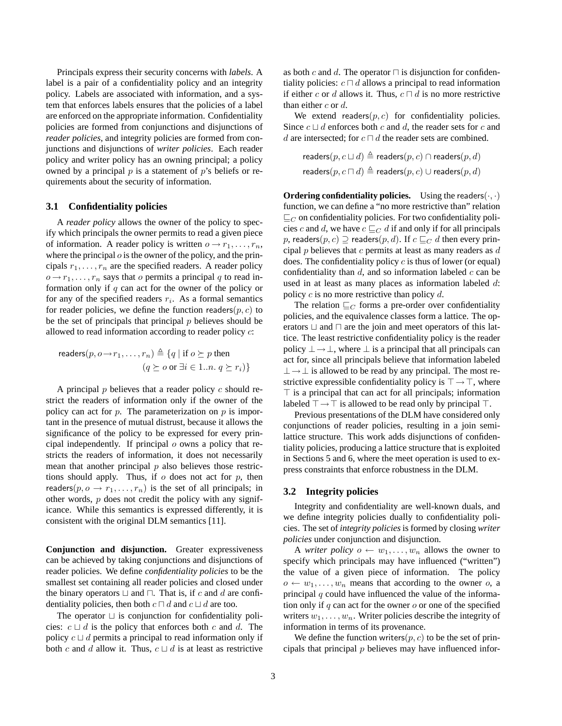Principals express their security concerns with *labels*. A label is a pair of a confidentiality policy and an integrity policy. Labels are associated with information, and a system that enforces labels ensures that the policies of a label are enforced on the appropriate information. Confidentiality policies are formed from conjunctions and disjunctions of *reader policies*, and integrity policies are formed from conjunctions and disjunctions of *writer policies*. Each reader policy and writer policy has an owning principal; a policy owned by a principal  $p$  is a statement of  $p$ 's beliefs or requirements about the security of information.

### **3.1 Confidentiality policies**

A *reader policy* allows the owner of the policy to specify which principals the owner permits to read a given piece of information. A reader policy is written  $o \rightarrow r_1, \ldots, r_n$ , where the principal  $o$  is the owner of the policy, and the principals  $r_1, \ldots, r_n$  are the specified readers. A reader policy  $o \rightarrow r_1, \ldots, r_n$  says that o permits a principal q to read information only if  $q$  can act for the owner of the policy or for any of the specified readers  $r_i$ . As a formal semantics for reader policies, we define the function readers $(p, c)$  to be the set of principals that principal  $p$  believes should be allowed to read information according to reader policy c:

$$
\begin{aligned}\n\text{readers}(p, o \to r_1, \dots, r_n) &\triangleq \{q \mid \text{if } o \succeq p \text{ then} \\
&\quad (q \succeq o \text{ or } \exists i \in 1..n. \ q \succeq r_i)\}\n\end{aligned}
$$

A principal  $p$  believes that a reader policy  $c$  should restrict the readers of information only if the owner of the policy can act for  $p$ . The parameterization on  $p$  is important in the presence of mutual distrust, because it allows the significance of the policy to be expressed for every principal independently. If principal  $o$  owns a policy that restricts the readers of information, it does not necessarily mean that another principal  $p$  also believes those restrictions should apply. Thus, if  $o$  does not act for  $p$ , then readers( $p, o \rightarrow r_1, \ldots, r_n$ ) is the set of all principals; in other words,  $p$  does not credit the policy with any significance. While this semantics is expressed differently, it is consistent with the original DLM semantics [11].

**Conjunction and disjunction.** Greater expressiveness can be achieved by taking conjunctions and disjunctions of reader policies. We define *confidentiality policies* to be the smallest set containing all reader policies and closed under the binary operators  $\sqcup$  and  $\sqcap$ . That is, if c and d are confidentiality policies, then both  $c \sqcap d$  and  $c \sqcup d$  are too.

The operator  $\sqcup$  is conjunction for confidentiality policies:  $c \sqcup d$  is the policy that enforces both c and d. The policy  $c \sqcup d$  permits a principal to read information only if both c and d allow it. Thus,  $c \sqcup d$  is at least as restrictive

as both c and d. The operator  $\Box$  is disjunction for confidentiality policies:  $c \sqcap d$  allows a principal to read information if either c or d allows it. Thus,  $c \sqcap d$  is no more restrictive than either  $c$  or  $d$ .

We extend readers $(p, c)$  for confidentiality policies. Since  $c \sqcup d$  enforces both c and d, the reader sets for c and d are intersected; for  $c \sqcap d$  the reader sets are combined.

$$
\text{readers}(p, c \sqcup d) \triangleq \text{readers}(p, c) \cap \text{readers}(p, d)
$$
\n
$$
\text{readers}(p, c \sqcap d) \triangleq \text{readers}(p, c) \cup \text{readers}(p, d)
$$

**Ordering confidentiality policies.** Using the readers $(\cdot, \cdot)$ function, we can define a "no more restrictive than" relation  $\mathbb{E}_C$  on confidentiality policies. For two confidentiality policies c and d, we have  $c \sqsubseteq_C d$  if and only if for all principals p, readers $(p, c) \supseteq$  readers $(p, d)$ . If  $c \sqsubseteq_C d$  then every principal  $p$  believes that  $c$  permits at least as many readers as  $d$ does. The confidentiality policy  $c$  is thus of lower (or equal) confidentiality than  $d$ , and so information labeled  $c$  can be used in at least as many places as information labeled d: policy  $c$  is no more restrictive than policy  $d$ .

The relation  $\mathcal{L}_C$  forms a pre-order over confidentiality policies, and the equivalence classes form a lattice. The operators  $\sqcup$  and  $\sqcap$  are the join and meet operators of this lattice. The least restrictive confidentiality policy is the reader policy  $\perp \rightarrow \perp$ , where  $\perp$  is a principal that all principals can act for, since all principals believe that information labeled  $\perp \rightarrow \perp$  is allowed to be read by any principal. The most restrictive expressible confidentiality policy is  $\top \rightarrow \top$ , where  $\top$  is a principal that can act for all principals; information labeled  $\top \rightarrow \top$  is allowed to be read only by principal  $\top$ .

Previous presentations of the DLM have considered only conjunctions of reader policies, resulting in a join semilattice structure. This work adds disjunctions of confidentiality policies, producing a lattice structure that is exploited in Sections 5 and 6, where the meet operation is used to express constraints that enforce robustness in the DLM.

### **3.2 Integrity policies**

Integrity and confidentiality are well-known duals, and we define integrity policies dually to confidentiality policies. The set of *integrity policies* is formed by closing *writer policies* under conjunction and disjunction.

A *writer policy*  $o \leftarrow w_1, \ldots, w_n$  allows the owner to specify which principals may have influenced ("written") the value of a given piece of information. The policy  $o \leftarrow w_1, \ldots, w_n$  means that according to the owner o, a principal  $q$  could have influenced the value of the information only if  $q$  can act for the owner  $o$  or one of the specified writers  $w_1, \ldots, w_n$ . Writer policies describe the integrity of information in terms of its provenance.

We define the function writers $(p, c)$  to be the set of principals that principal  $p$  believes may have influenced infor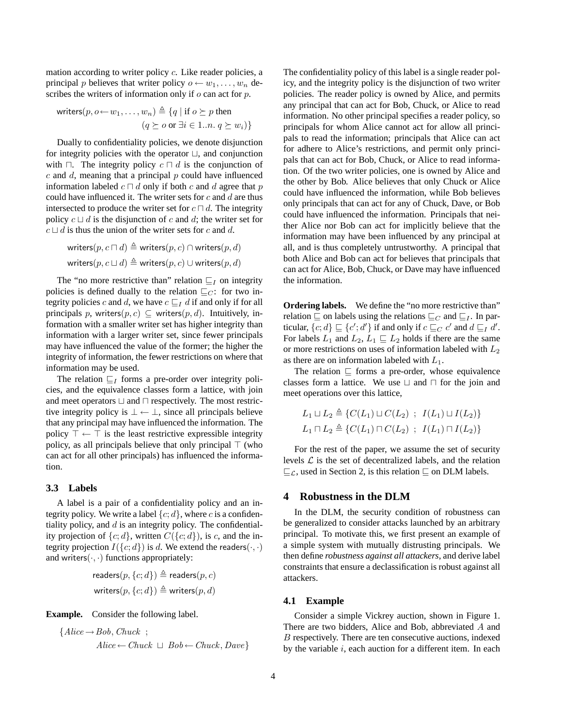mation according to writer policy c. Like reader policies, a principal p believes that writer policy  $o \leftarrow w_1, \ldots, w_n$  describes the writers of information only if  $\rho$  can act for  $p$ .

$$
\text{writers}(p, o \leftarrow w_1, \dots, w_n) \triangleq \{q \mid \text{if } o \succeq p \text{ then } \\
 (q \succeq o \text{ or } \exists i \in 1...n. q \succeq w_i) \}
$$

Dually to confidentiality policies, we denote disjunction for integrity policies with the operator  $\Box$ , and conjunction with  $\Box$ . The integrity policy  $c \Box d$  is the conjunction of  $c$  and  $d$ , meaning that a principal  $p$  could have influenced information labeled  $c \sqcap d$  only if both c and d agree that p could have influenced it. The writer sets for  $c$  and  $d$  are thus intersected to produce the writer set for  $c \sqcap d$ . The integrity policy  $c \sqcup d$  is the disjunction of c and d; the writer set for  $c \sqcup d$  is thus the union of the writer sets for c and d.

$$
\begin{aligned} &\text{writers}(p, c \sqcap d) \triangleq \text{writers}(p, c) \cap \text{writers}(p, d) \\ &\text{writers}(p, c \sqcup d) \triangleq \text{writers}(p, c) \cup \text{writers}(p, d) \end{aligned}
$$

The "no more restrictive than" relation  $\sqsubseteq_I$  on integrity policies is defined dually to the relation  $\sqsubseteq_C$ : for two integrity policies c and d, we have  $c \sqsubseteq_I d$  if and only if for all principals p, writers $(p, c) \subseteq$  writers $(p, d)$ . Intuitively, information with a smaller writer set has higher integrity than information with a larger writer set, since fewer principals may have influenced the value of the former; the higher the integrity of information, the fewer restrictions on where that information may be used.

The relation  $\sqsubseteq_I$  forms a pre-order over integrity policies, and the equivalence classes form a lattice, with join and meet operators  $\sqcup$  and  $\sqcap$  respectively. The most restrictive integrity policy is  $\bot \leftarrow \bot$ , since all principals believe that any principal may have influenced the information. The policy  $\top \leftarrow \top$  is the least restrictive expressible integrity policy, as all principals believe that only principal  $\top$  (who can act for all other principals) has influenced the information.

### **3.3 Labels**

A label is a pair of a confidentiality policy and an integrity policy. We write a label  $\{c; d\}$ , where c is a confidentiality policy, and  $d$  is an integrity policy. The confidentiality projection of  $\{c; d\}$ , written  $C(\{c; d\})$ , is c, and the integrity projection  $I({c; d})$  is d. We extend the readers $(\cdot, \cdot)$ and writers $(·, ·)$  functions appropriately:

$$
\text{readers}(p, \{c; d\}) \triangleq \text{readers}(p, c)
$$
\n
$$
\text{writers}(p, \{c; d\}) \triangleq \text{writers}(p, d)
$$

**Example.** Consider the following label.

$$
{\lbrace Alice \rightarrow Bob, Chuck \; ; \; \; \atop Alice \leftarrow Chuck \; \sqcup \; Bob \leftarrow Chuck, Dave \rbrace}
$$

The confidentiality policy of this label is a single reader policy, and the integrity policy is the disjunction of two writer policies. The reader policy is owned by Alice, and permits any principal that can act for Bob, Chuck, or Alice to read information. No other principal specifies a reader policy, so principals for whom Alice cannot act for allow all principals to read the information; principals that Alice can act for adhere to Alice's restrictions, and permit only principals that can act for Bob, Chuck, or Alice to read information. Of the two writer policies, one is owned by Alice and the other by Bob. Alice believes that only Chuck or Alice could have influenced the information, while Bob believes only principals that can act for any of Chuck, Dave, or Bob could have influenced the information. Principals that neither Alice nor Bob can act for implicitly believe that the information may have been influenced by any principal at all, and is thus completely untrustworthy. A principal that both Alice and Bob can act for believes that principals that can act for Alice, Bob, Chuck, or Dave may have influenced the information.

**Ordering labels.** We define the "no more restrictive than" relation  $\sqsubseteq$  on labels using the relations  $\sqsubseteq_C$  and  $\sqsubseteq_I$ . In particular,  $\{c; d\} \sqsubseteq \{c'; d'\}$  if and only if  $c \sqsubseteq_C c'$  and  $d \sqsubseteq_I d'$ . For labels  $L_1$  and  $L_2$ ,  $L_1 \sqsubseteq L_2$  holds if there are the same or more restrictions on uses of information labeled with  $L_2$ as there are on information labeled with  $L_1$ .

The relation  $\sqsubseteq$  forms a pre-order, whose equivalence classes form a lattice. We use  $\sqcup$  and  $\sqcap$  for the join and meet operations over this lattice,

$$
L_1 \sqcup L_2 \triangleq \{ C(L_1) \sqcup C(L_2) ; I(L_1) \sqcup I(L_2) \}
$$
  

$$
L_1 \sqcap L_2 \triangleq \{ C(L_1) \sqcap C(L_2) ; I(L_1) \sqcap I(L_2) \}
$$

For the rest of the paper, we assume the set of security levels  $\mathcal L$  is the set of decentralized labels, and the relation  $\sqsubseteq_{\mathcal{L}}$ , used in Section 2, is this relation  $\sqsubseteq$  on DLM labels.

### **4 Robustness in the DLM**

In the DLM, the security condition of robustness can be generalized to consider attacks launched by an arbitrary principal. To motivate this, we first present an example of a simple system with mutually distrusting principals. We then define *robustness against all attackers*, and derive label constraints that ensure a declassification is robust against all attackers.

### **4.1 Example**

Consider a simple Vickrey auction, shown in Figure 1. There are two bidders, Alice and Bob, abbreviated A and B respectively. There are ten consecutive auctions, indexed by the variable  $i$ , each auction for a different item. In each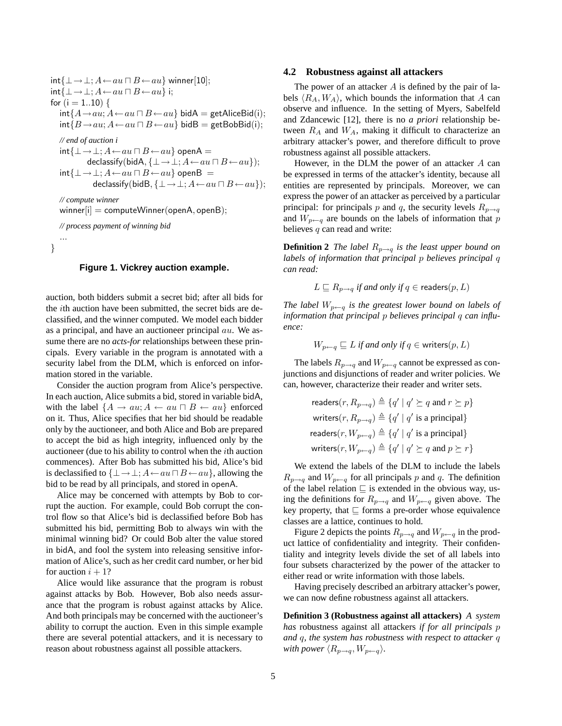```
int\{\perp \rightarrow \perp; A \leftarrow au \sqcap B \leftarrow au\} winner[10];
int{\{\bot\rightarrow\bot; A\leftarrow au\sqcap B\leftarrow au}} i;
for (i = 1..10) {
   int{A\rightarrow au; A\leftarrow au \sqcap B\leftarrow au} bidA = getAliceBid(i);int{B\rightarrow au; A\leftarrow au \sqcap B\leftarrow au} bidB = getBobBid(i);// end of auction i
   int\{\perp \rightarrow \perp; A \leftarrow au \sqcap B \leftarrow au\} openA =
               declassify(bidA, \{\bot \rightarrow \bot; A \leftarrow au \sqcap B \leftarrow au\};int\{\perp \rightarrow \perp; A \leftarrow au \sqcap B \leftarrow au\} openB =declassify(bidB, \{\bot \rightarrow \bot; A \leftarrow au \sqcap B \leftarrow au\};// compute winner
   winner[i] = computeWinner(openA, openB);// process payment of winning bid
    ...
}
```
### **Figure 1. Vickrey auction example.**

auction, both bidders submit a secret bid; after all bids for the ith auction have been submitted, the secret bids are declassified, and the winner computed. We model each bidder as a principal, and have an auctioneer principal au. We assume there are no *acts-for* relationships between these principals. Every variable in the program is annotated with a security label from the DLM, which is enforced on information stored in the variable.

Consider the auction program from Alice's perspective. In each auction, Alice submits a bid, stored in variable bidA, with the label  $\{A \rightarrow au; A \leftarrow au \sqcap B \leftarrow au\}$  enforced on it. Thus, Alice specifies that her bid should be readable only by the auctioneer, and both Alice and Bob are prepared to accept the bid as high integrity, influenced only by the auctioneer (due to his ability to control when the ith auction commences). After Bob has submitted his bid, Alice's bid is declassified to  $\{\bot \rightarrow \bot; A \leftarrow au \sqcap B \leftarrow au\}$ , allowing the bid to be read by all principals, and stored in openA.

Alice may be concerned with attempts by Bob to corrupt the auction. For example, could Bob corrupt the control flow so that Alice's bid is declassified before Bob has submitted his bid, permitting Bob to always win with the minimal winning bid? Or could Bob alter the value stored in bidA, and fool the system into releasing sensitive information of Alice's, such as her credit card number, or her bid for auction  $i + 1$ ?

Alice would like assurance that the program is robust against attacks by Bob. However, Bob also needs assurance that the program is robust against attacks by Alice. And both principals may be concerned with the auctioneer's ability to corrupt the auction. Even in this simple example there are several potential attackers, and it is necessary to reason about robustness against all possible attackers.

#### **4.2 Robustness against all attackers**

The power of an attacker  $A$  is defined by the pair of labels  $\langle R_A, W_A \rangle$ , which bounds the information that A can observe and influence. In the setting of Myers, Sabelfeld and Zdancewic [12], there is no *a priori* relationship between  $R_A$  and  $W_A$ , making it difficult to characterize an arbitrary attacker's power, and therefore difficult to prove robustness against all possible attackers.

However, in the DLM the power of an attacker A can be expressed in terms of the attacker's identity, because all entities are represented by principals. Moreover, we can express the power of an attacker as perceived by a particular principal: for principals p and q, the security levels  $R_{p\rightarrow q}$ and  $W_{p\leftarrow q}$  are bounds on the labels of information that p believes  $q$  can read and write:

**Definition 2** *The label*  $R_{p\rightarrow q}$  *is the least upper bound on labels of information that principal* p *believes principal* q *can read:*

$$
L \sqsubseteq R_{p \to q} \text{ if and only if } q \in \text{ readers}(p, L)
$$

*The label*  $W_{p \leftarrow q}$  *is the greatest lower bound on labels of information that principal* p *believes principal* q *can influence:*

$$
W_{p \leftarrow q} \sqsubseteq L
$$
 if and only if  $q \in \text{writes}(p, L)$ 

The labels  $R_{p\rightarrow q}$  and  $W_{p\leftarrow q}$  cannot be expressed as conjunctions and disjunctions of reader and writer policies. We can, however, characterize their reader and writer sets.

$$
\text{readers}(r, R_{p \to q}) \triangleq \{q' \mid q' \succeq q \text{ and } r \succeq p\}
$$
\n
$$
\text{writers}(r, R_{p \to q}) \triangleq \{q' \mid q' \text{ is a principal}\}
$$
\n
$$
\text{readers}(r, W_{p \leftarrow q}) \triangleq \{q' \mid q' \text{ is a principal}\}
$$
\n
$$
\text{writers}(r, W_{p \leftarrow q}) \triangleq \{q' \mid q' \succeq q \text{ and } p \succeq r\}
$$

We extend the labels of the DLM to include the labels  $R_{p\rightarrow q}$  and  $W_{p\leftarrow q}$  for all principals p and q. The definition of the label relation  $\sqsubseteq$  is extended in the obvious way, using the definitions for  $R_{p\rightarrow q}$  and  $W_{p\leftarrow q}$  given above. The key property, that  $\sqsubseteq$  forms a pre-order whose equivalence classes are a lattice, continues to hold.

Figure 2 depicts the points  $R_{p\rightarrow q}$  and  $W_{p\leftarrow q}$  in the product lattice of confidentiality and integrity. Their confidentiality and integrity levels divide the set of all labels into four subsets characterized by the power of the attacker to either read or write information with those labels.

Having precisely described an arbitrary attacker's power, we can now define robustness against all attackers.

**Definition 3 (Robustness against all attackers)** *A system has* robustness against all attackers *if for all principals* p *and* q*, the system has robustness with respect to attacker* q *with power*  $\langle R_{p\rightarrow q}, W_{p\leftarrow q} \rangle$ *.*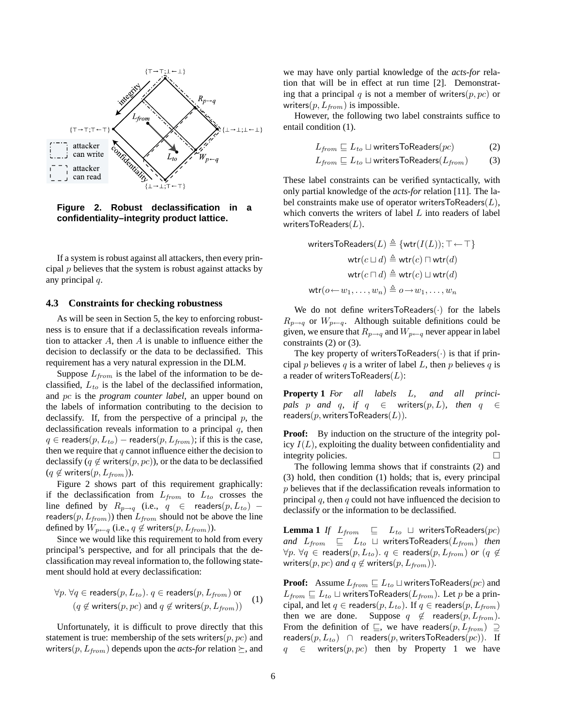

**Figure 2. Robust declassification in a confidentiality–integrity product lattice.**

If a system is robust against all attackers, then every principal  $p$  believes that the system is robust against attacks by any principal q.

#### **4.3 Constraints for checking robustness**

As will be seen in Section 5, the key to enforcing robustness is to ensure that if a declassification reveals information to attacker  $A$ , then  $A$  is unable to influence either the decision to declassify or the data to be declassified. This requirement has a very natural expression in the DLM.

Suppose  $L_{from}$  is the label of the information to be declassified,  $L_{to}$  is the label of the declassified information, and pc is the *program counter label*, an upper bound on the labels of information contributing to the decision to declassify. If, from the perspective of a principal  $p$ , the declassification reveals information to a principal  $q$ , then  $q \in \text{readers}(p, L_{to})$  – readers $(p, L_{from})$ ; if this is the case, then we require that  $q$  cannot influence either the decision to declassify (q  $\notin$  writers(p, pc)), or the data to be declassified  $(q \notin \text{writes}(p, L_{from}))$ .

Figure 2 shows part of this requirement graphically: if the declassification from  $L_{from}$  to  $L_{to}$  crosses the line defined by  $R_{p\rightarrow q}$  (i.e.,  $q \in \text{ readers}(p, L_{to})$  – readers( $p, L_{from}$ )) then  $L_{from}$  should not be above the line defined by  $W_{p\leftarrow q}$  (i.e.,  $q \notin \text{writes}(p, L_{from})$ ).

Since we would like this requirement to hold from every principal's perspective, and for all principals that the declassification may reveal information to, the following statement should hold at every declassification:

$$
\forall p. \ \forall q \in readers(p, L_{to}). \ q \in readers(p, L_{from}) \ \text{or}
$$
\n
$$
(q \notin writers(p, pc) \text{ and } q \notin writers(p, L_{from}))
$$
\n(1)

Unfortunately, it is difficult to prove directly that this statement is true: membership of the sets writers $(p, pc)$  and writers( $p, L_{from}$ ) depends upon the *acts-for* relation  $\succeq$ , and we may have only partial knowledge of the *acts-for* relation that will be in effect at run time [2]. Demonstrating that a principal q is not a member of writers $(p, pc)$  or writers( $p, L_{from}$ ) is impossible.

However, the following two label constraints suffice to entail condition (1).

$$
L_{from} \sqsubseteq L_{to} \sqcup \text{writersToReaders}(pc) \tag{2}
$$

$$
L_{from} \sqsubseteq L_{to} \sqcup \text{writesToReaders}(L_{from}) \tag{3}
$$

These label constraints can be verified syntactically, with only partial knowledge of the *acts-for* relation [11]. The label constraints make use of operator writersToReaders $(L)$ , which converts the writers of label  $L$  into readers of label writers $ToReaders(L)$ .

$$
\begin{aligned} \text{writersToReaders}(L) &\triangleq \{\textsf{wtr}(I(L)); \top \leftarrow \top\} \\ \textsf{wtr}(c \sqcup d) &\triangleq \textsf{wtr}(c) \sqcap \textsf{wtr}(d) \\ \textsf{wtr}(c \sqcap d) &\triangleq \textsf{wtr}(c) \sqcup \textsf{wtr}(d) \\ \textsf{wtr}(o \leftarrow w_1, \dots, w_n) &\triangleq o \rightarrow w_1, \dots, w_n \end{aligned}
$$

We do not define writersToReaders $(\cdot)$  for the labels  $R_{p\rightarrow q}$  or  $W_{p\leftarrow q}$ . Although suitable definitions could be given, we ensure that  $R_{p\rightarrow q}$  and  $W_{p\leftarrow q}$  never appear in label constraints (2) or (3).

The key property of writersToReaders $(\cdot)$  is that if principal p believes q is a writer of label L, then p believes q is a reader of writersToReaders $(L)$ :

**Property 1** *For all labels* L*, and all principals p and q, if*  $q \in$  writers $(p, L)$ *, then*  $q \in$ readers(p,writersToReaders(L))*.*

**Proof:** By induction on the structure of the integrity policy  $I(L)$ , exploiting the duality between confidentiality and integrity policies.

The following lemma shows that if constraints (2) and (3) hold, then condition (1) holds; that is, every principal p believes that if the declassification reveals information to principal  $q$ , then  $q$  could not have influenced the decision to declassify or the information to be declassified.

**Lemma 1** *If*  $L_{from} \subseteq L_{to} \cup$  writersToReaders(pc) *and*  $L_{from} \subseteq L_{to} \cup$  writersToReaders( $L_{from}$ ) *then*  $\forall p. \forall q \in \text{readers}(p, L_{to}).$   $q \in \text{readers}(p, L_{from})$  *or*  $(q \notin$ writers( $p, pc$ ) *and*  $q \notin \text{writes}(p, L_{from})$ ).

**Proof:** Assume  $L_{from} \sqsubseteq L_{to} \sqcup$  writersToReaders(pc) and  $L_{from} \sqsubseteq L_{to} \sqcup$  writersToReaders( $L_{from}$ ). Let p be a principal, and let  $q \in \text{readers}(p, L_{to})$ . If  $q \in \text{readers}(p, L_{from})$ then we are done. Suppose  $q \notin \text{readers}(p, L_{from})$ . From the definition of  $\subseteq$ , we have readers $(p, L_{from}) \supseteq$ readers $(p, L_{to}) \cap$  readers $(p,$  writersToReaders $(pc)$ ). If  $q \in$  writers $(p, pc)$  then by Property 1 we have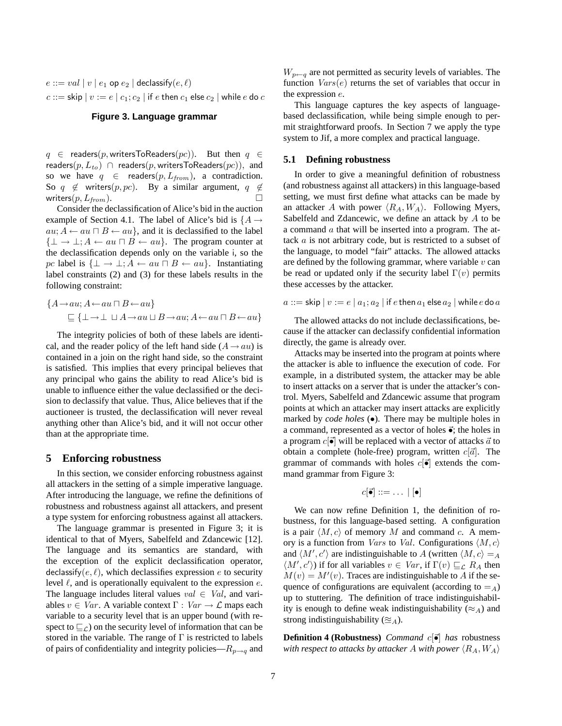$e ::= val \mid v \mid e_1$  op  $e_2 \mid$  declassify $(e, \ell)$  $c ::=$ skip  $|v := e | c_1; c_2 |$  if e then  $c_1$  else  $c_2$   $|$  while e do  $c$ 

# **Figure 3. Language grammar**

 $q \in$  readers(p, writersToReaders(pc)). But then  $q \in$ readers( $p, L_{to}$ ) ∩ readers( $p$ , writersToReaders( $pc$ )), and so we have  $q \in \text{readers}(p, L_{from})$ , a contradiction. So  $q \notin$  writers(p, pc). By a similar argument,  $q \notin$ writers $(p, L_{from})$ .

Consider the declassification of Alice's bid in the auction example of Section 4.1. The label of Alice's bid is  $\{A \rightarrow$  $au; A \leftarrow au \sqcap B \leftarrow au$ , and it is declassified to the label  $\{\perp \rightarrow \perp; A \leftarrow au \sqcap B \leftarrow au\}.$  The program counter at the declassification depends only on the variable i, so the pc label is  $\{\perp \to \perp : A \leftarrow au \sqcap B \leftarrow au\}$ . Instantiating label constraints (2) and (3) for these labels results in the following constraint:

$$
\{A \rightarrow au; A \leftarrow au \sqcap B \leftarrow au\}
$$
  
\n
$$
\sqsubseteq \{\bot \rightarrow \bot \sqcup A \rightarrow au \sqcup B \rightarrow au; A \leftarrow au \sqcap B \leftarrow au\}
$$

The integrity policies of both of these labels are identical, and the reader policy of the left hand side  $(A \rightarrow au)$  is contained in a join on the right hand side, so the constraint is satisfied. This implies that every principal believes that any principal who gains the ability to read Alice's bid is unable to influence either the value declassified or the decision to declassify that value. Thus, Alice believes that if the auctioneer is trusted, the declassification will never reveal anything other than Alice's bid, and it will not occur other than at the appropriate time.

### **5 Enforcing robustness**

In this section, we consider enforcing robustness against all attackers in the setting of a simple imperative language. After introducing the language, we refine the definitions of robustness and robustness against all attackers, and present a type system for enforcing robustness against all attackers.

The language grammar is presented in Figure 3; it is identical to that of Myers, Sabelfeld and Zdancewic [12]. The language and its semantics are standard, with the exception of the explicit declassification operator, declassify( $e, \ell$ ), which declassifies expression e to security level  $\ell$ , and is operationally equivalent to the expression  $e$ . The language includes literal values  $val \in Val$ , and variables  $v \in Var$ . A variable context  $\Gamma : Var \to \mathcal{L}$  maps each variable to a security level that is an upper bound (with respect to  $\subseteq_{\mathcal{L}}$ ) on the security level of information that can be stored in the variable. The range of  $\Gamma$  is restricted to labels of pairs of confidentiality and integrity policies— $R_{p\rightarrow q}$  and

 $W_{p\leftarrow q}$  are not permitted as security levels of variables. The function  $Vars(e)$  returns the set of variables that occur in the expression e.

This language captures the key aspects of languagebased declassification, while being simple enough to permit straightforward proofs. In Section 7 we apply the type system to Jif, a more complex and practical language.

### **5.1 Defining robustness**

In order to give a meaningful definition of robustness (and robustness against all attackers) in this language-based setting, we must first define what attacks can be made by an attacker A with power  $\langle R_A, W_A \rangle$ . Following Myers, Sabelfeld and Zdancewic, we define an attack by A to be a command a that will be inserted into a program. The attack a is not arbitrary code, but is restricted to a subset of the language, to model "fair" attacks. The allowed attacks are defined by the following grammar, where variable  $v$  can be read or updated only if the security label  $\Gamma(v)$  permits these accesses by the attacker.

 $a ::=$  skip  $|v := e | a_1; a_2 |$  if  $e$  then  $a_1$  else  $a_2 |$  while  $e$  do  $a$ 

The allowed attacks do not include declassifications, because if the attacker can declassify confidential information directly, the game is already over.

Attacks may be inserted into the program at points where the attacker is able to influence the execution of code. For example, in a distributed system, the attacker may be able to insert attacks on a server that is under the attacker's control. Myers, Sabelfeld and Zdancewic assume that program points at which an attacker may insert attacks are explicitly marked by *code holes* ( $\bullet$ ). There may be multiple holes in a command, represented as a vector of holes  $\vec{\bullet}$ ; the holes in a program  $c[\vec{\bullet}]$  will be replaced with a vector of attacks  $\vec{a}$  to obtain a complete (hole-free) program, written  $c[\vec{a}]$ . The grammar of commands with holes  $c[\vec{\bullet}]$  extends the command grammar from Figure 3:

$$
c[\vec{\bullet}] ::= \dots |[\bullet]
$$

We can now refine Definition 1, the definition of robustness, for this language-based setting. A configuration is a pair  $\langle M, c \rangle$  of memory M and command c. A memory is a function from *Vars* to *Val*. Configurations  $\langle M, c \rangle$ and  $\langle M', c' \rangle$  are indistinguishable to A (written  $\langle M, c \rangle =_A$  $\langle M', c' \rangle$ ) if for all variables  $v \in Var$ , if  $\Gamma(v) \sqsubseteq_{\mathcal{L}} R_A$  then  $M(v) = M'(v)$ . Traces are indistinguishable to A if the sequence of configurations are equivalent (according to  $=_A$ ) up to stuttering. The definition of trace indistinguishability is enough to define weak indistinguishability ( $\approx_A$ ) and strong indistinguishability ( $\approx_A$ ).

**Definition 4 (Robustness)** *Command*  $c[\vec{\bullet}]$  *has* robustness *with respect to attacks by attacker A with power*  $\langle R_A, W_A \rangle$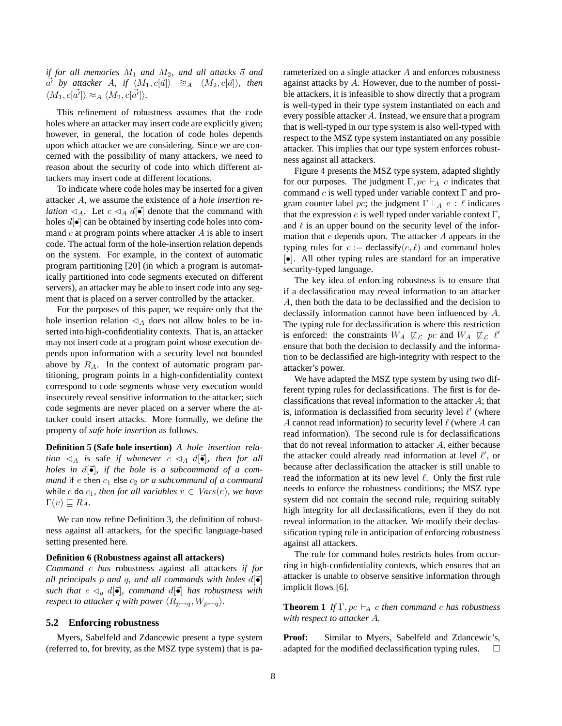*if for all memories*  $M_1$  *and*  $M_2$ *, and all attacks*  $\vec{a}$  *and*  $\vec{a'}$  by attacker A, if  $\langle M_1, c[\vec{a}] \rangle \cong_A \langle M_2, c[\vec{a}] \rangle$ , then  $\langle M_1, c[\vec{a'}]\rangle \approx_A \langle M_2, c[\vec{a'}]\rangle.$ 

This refinement of robustness assumes that the code holes where an attacker may insert code are explicitly given; however, in general, the location of code holes depends upon which attacker we are considering. Since we are concerned with the possibility of many attackers, we need to reason about the security of code into which different attackers may insert code at different locations.

To indicate where code holes may be inserted for a given attacker A, we assume the existence of a *hole insertion relation*  $\triangleleft_A$ . Let  $c \triangleleft_A d[\vec{\bullet}]$  denote that the command with holes  $d\vec{[} \cdot \vec{[} \cdot \vec{[} \cdot \vec{[} \cdot \vec{[} \cdot \vec{[} \cdot \vec{[} \cdot \vec{[} \cdot \vec{[} \cdot \vec{[} \cdot \vec{[} \cdot \vec{[} \cdot \vec{[} \cdot \vec{[} \cdot \vec{[} \cdot \vec{[} \cdot \vec{[} \cdot \vec{[} \cdot \vec{[} \cdot \vec{[} \cdot \vec{[} \cdot \vec{[} \cdot \vec{[} \cdot \vec{[} \cdot \vec{[} \cdot \vec{[} \cdot \vec{[} \cdot \vec{[} \cdot \vec{[} \cdot \vec{[} \cdot \vec{$ mand  $c$  at program points where attacker  $A$  is able to insert code. The actual form of the hole-insertion relation depends on the system. For example, in the context of automatic program partitioning [20] (in which a program is automatically partitioned into code segments executed on different servers), an attacker may be able to insert code into any segment that is placed on a server controlled by the attacker.

For the purposes of this paper, we require only that the hole insertion relation  $\triangleleft_A$  does not allow holes to be inserted into high-confidentiality contexts. That is, an attacker may not insert code at a program point whose execution depends upon information with a security level not bounded above by  $R_A$ . In the context of automatic program partitioning, program points in a high-confidentiality context correspond to code segments whose very execution would insecurely reveal sensitive information to the attacker; such code segments are never placed on a server where the attacker could insert attacks. More formally, we define the property of *safe hole insertion* as follows.

**Definition 5 (Safe hole insertion)** *A hole insertion relation*  $\triangleleft_A$  *is* safe *if whenever*  $c \triangleleft_A d[\vec{\bullet}]$ *, then for all holes in d* $\begin{bmatrix} \vec{\bullet} \end{bmatrix}$ *, if the hole is a subcommand of a command* if e then  $c_1$  else  $c_2$  *or a subcommand of a command* while e do  $c_1$ *, then for all variables*  $v \in \text{Vars}(e)$ *, we have*  $\Gamma(v) \sqsubseteq R_A$ .

We can now refine Definition 3, the definition of robustness against all attackers, for the specific language-based setting presented here.

#### **Definition 6 (Robustness against all attackers)**

*Command* c *has* robustness against all attackers *if for all principals* p *and* q, *and all commands with holes*  $d\vec{\bullet}$ *such that*  $c \leq_a d[\vec{\bullet}]$ *, command*  $d[\vec{\bullet}]$  *has robustness with respect to attacker q with power*  $\langle R_{p\rightarrow q}, W_{p\leftarrow q} \rangle$ *.* 

### **5.2 Enforcing robustness**

Myers, Sabelfeld and Zdancewic present a type system (referred to, for brevity, as the MSZ type system) that is parameterized on a single attacker A and enforces robustness against attacks by A. However, due to the number of possible attackers, it is infeasible to show directly that a program is well-typed in their type system instantiated on each and every possible attacker A. Instead, we ensure that a program that is well-typed in our type system is also well-typed with respect to the MSZ type system instantiated on any possible attacker. This implies that our type system enforces robustness against all attackers.

Figure 4 presents the MSZ type system, adapted slightly for our purposes. The judgment  $\Gamma$ ,  $pc \vdash_A c$  indicates that command  $c$  is well typed under variable context  $\Gamma$  and program counter label pc; the judgment  $\Gamma \vdash_A e : \ell$  indicates that the expression e is well typed under variable context  $\Gamma$ , and  $\ell$  is an upper bound on the security level of the information that e depends upon. The attacker A appears in the typing rules for  $v :=$  declassify $(e, \ell)$  and command holes [•]. All other typing rules are standard for an imperative security-typed language.

The key idea of enforcing robustness is to ensure that if a declassification may reveal information to an attacker A, then both the data to be declassified and the decision to declassify information cannot have been influenced by A. The typing rule for declassification is where this restriction is enforced: the constraints  $W_A \not\sqsubseteq_{\mathcal{L}} pc$  and  $W_A \not\sqsubseteq_{\mathcal{L}} \ell'$ ensure that both the decision to declassify and the information to be declassified are high-integrity with respect to the attacker's power.

We have adapted the MSZ type system by using two different typing rules for declassifications. The first is for declassifications that reveal information to the attacker  $A$ ; that is, information is declassified from security level  $\ell'$  (where A cannot read information) to security level  $\ell$  (where A can read information). The second rule is for declassifications that do not reveal information to attacker A, either because the attacker could already read information at level  $\ell'$ , or because after declassification the attacker is still unable to read the information at its new level  $\ell$ . Only the first rule needs to enforce the robustness conditions; the MSZ type system did not contain the second rule, requiring suitably high integrity for all declassifications, even if they do not reveal information to the attacker. We modify their declassification typing rule in anticipation of enforcing robustness against all attackers.

The rule for command holes restricts holes from occurring in high-confidentiality contexts, which ensures that an attacker is unable to observe sensitive information through implicit flows [6].

**Theorem 1** *If*  $\Gamma$ ,  $pc \vdash_A c$  *then command c has robustness with respect to attacker* A*.*

**Proof:** Similar to Myers, Sabelfeld and Zdancewic's, adapted for the modified declassification typing rules.  $\Box$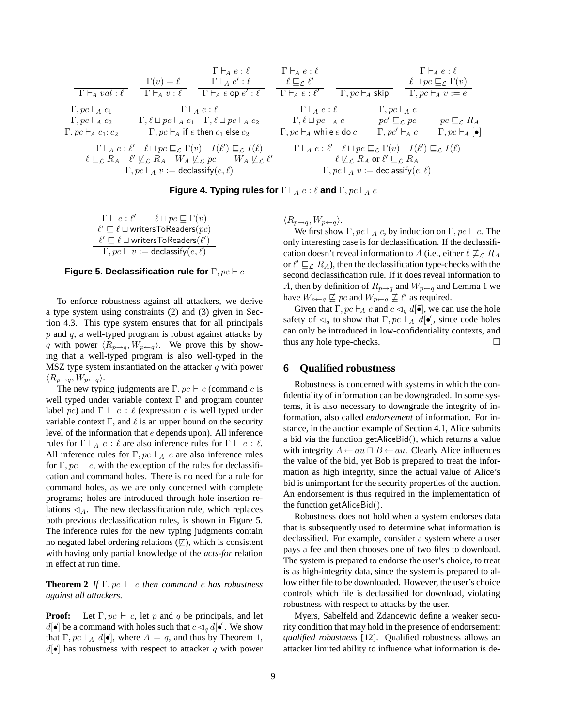$$
\begin{array}{ccccccccc}\n & & & & & & \Gamma\vdash_A e:\ell & & & \Gamma\vdash_A e:\ell & & & \Gamma\vdash_A e:\ell \\
\hline\n\Gamma\vdash_A val:\ell & & \Gamma\vdash_A e:\ell & & \Gamma\vdash_A e':\ell & & \ell\sqsubseteq_{\mathcal{L}}\ell' & & & \ell\sqcup pc\sqsubseteq_{\mathcal{L}}\Gamma(v) \\
\Gamma\vdash_A val:\ell & & \Gamma\vdash_A e:\ell & & \Gamma\vdash_A e:\ell' & & \Gamma\vdash_B e:\ell & & \Gamma\vdash_B e\sqsubseteq_{\mathcal{L}}\Gamma(v) \\
\Gamma\vdash_A e:\ell & & \Gamma\vdash_A e:\ell & & \Gamma\vdash_B e\vdash_A e \\
\hline\n\Gamma, pc\vdash_A c_1 & & & \Gamma\vdash_A e:\ell & & \Gamma\vdash_B e\vdash_A e \\
\hline\n\Gamma, pc\vdash_A c_1; c_2 & & \Gamma, pc\vdash_A i\vdash e\text{ then } c_1\text{ else } c_2 & & \Gamma, pc\vdash_A w\text{ hile }e\text{ do }c & & \Gamma, pc\vdash_A e \\
\hline\n\Gamma\vdash_A e:\ell' & & \ell\sqcup pc\sqsubseteq_{\mathcal{L}}\Gamma(v) & I(\ell')\sqsubseteq_{\mathcal{L}}I(\ell) & & \Gamma\vdash_A e:\ell' & \ell\sqcup pc\sqsubseteq_{\mathcal{L}}\Gamma(v) & I(\ell')\sqsubseteq_{\mathcal{L}}I(\ell) \\
\hline\n& & & \ell\sqsubseteq_{\mathcal{L}}R_A & \ell'\nsubseteq_{\mathcal{L}}R_A & W_A \not\models_{\mathcal{L}}pc & W_A \not\models_{\mathcal{L}}\ell' & & \ell\varsubseteq_{\mathcal{L}}R_A \text{ or } \ell'\sqsubseteq_{\mathcal{L}}R_A \\
\hline\n& & & \Gamma, pc\vdash_A v:=\text{declassify}(e,\ell) & & \Gamma\vdash_{\mathcal{P}}e\vdash_{\mathcal{P}}v:=\text{declassify}(e,\ell)\n\end{array}
$$

**Figure 4. Typing rules for**  $\Gamma \vdash_A e : \ell$  and  $\Gamma, pc \vdash_A c$ 

 $\Gamma \vdash e : \ell'$  $\ell \sqcup pc \sqsubseteq \Gamma(v)$  $\ell' \sqsubseteq \ell \sqcup$  writersToReaders $(pc)$  $\ell' \sqsubseteq \ell \sqcup \text{writersToReaders}(\ell')$  $\Gamma, pc \vdash v := \mathsf{declassify}(e, \ell)$ 

**Figure 5. Declassification rule for** Γ,  $pc \vdash c$ 

To enforce robustness against all attackers, we derive a type system using constraints (2) and (3) given in Section 4.3. This type system ensures that for all principals  $p$  and  $q$ , a well-typed program is robust against attacks by q with power  $\langle R_{p\rightarrow q}, W_{p\leftarrow q} \rangle$ . We prove this by showing that a well-typed program is also well-typed in the MSZ type system instantiated on the attacker  $q$  with power  $\langle R_{p\rightarrow q}, W_{p\leftarrow q}\rangle.$ 

The new typing judgments are  $\Gamma, pc \vdash c$  (command c is well typed under variable context Γ and program counter label pc) and  $\Gamma \vdash e : \ell$  (expression e is well typed under variable context  $\Gamma$ , and  $\ell$  is an upper bound on the security level of the information that e depends upon). All inference rules for  $\Gamma \vdash_A e : \ell$  are also inference rules for  $\Gamma \vdash e : \ell$ . All inference rules for  $\Gamma, pc \vdash_A c$  are also inference rules for  $\Gamma$ ,  $pc \vdash c$ , with the exception of the rules for declassification and command holes. There is no need for a rule for command holes, as we are only concerned with complete programs; holes are introduced through hole insertion relations  $\triangleleft_A$ . The new declassification rule, which replaces both previous declassification rules, is shown in Figure 5. The inference rules for the new typing judgments contain no negated label ordering relations  $(\nabla)$ , which is consistent with having only partial knowledge of the *acts-for* relation in effect at run time.

**Theorem 2** *If*  $\Gamma, pc \vdash c$  *then command c has robustness against all attackers.*

**Proof:** Let  $\Gamma, pc \vdash c$ , let p and q be principals, and let  $d[\vec{\bullet}]$  be a command with holes such that  $c \triangleleft_{q} d[\vec{\bullet}]$ . We show that  $\Gamma, pc \vdash_A d[\vec{\bullet}]$ , where  $A = q$ , and thus by Theorem 1,  $d\vec{[} \cdot \vec{[} \cdot \vec{[} \cdot \vec{[} \cdot \vec{[} \cdot \vec{[} \cdot \vec{[} \cdot \vec{[} \cdot \vec{[} \cdot \vec{[} \cdot \vec{[} \cdot \vec{[} \cdot \vec{[} \cdot \vec{[} \cdot \vec{[} \cdot \vec{[} \cdot \vec{[} \cdot \vec{[} \cdot \vec{[} \cdot \vec{[} \cdot \vec{[} \cdot \vec{[} \cdot \vec{[} \cdot \vec{[} \cdot \vec{[} \cdot \vec{[} \cdot \vec{[} \cdot \vec{[} \cdot \vec{[} \cdot \vec{[} \cdot \vec{[} \cdot \vec$   $\langle R_{p\rightarrow q}, W_{p\leftarrow q}\rangle.$ 

We first show  $\Gamma$ ,  $pc \vdash_A c$ , by induction on  $\Gamma$ ,  $pc \vdash c$ . The only interesting case is for declassification. If the declassification doesn't reveal information to A (i.e., either  $\ell \not\sqsubseteq_C R_A$ or  $\ell' \sqsubseteq_{\mathcal{L}} R_A$ , then the declassification type-checks with the second declassification rule. If it does reveal information to A, then by definition of  $R_{p\rightarrow q}$  and  $W_{p\leftarrow q}$  and Lemma 1 we have  $W_{p \leftarrow q} \not\sqsubseteq pc$  and  $W_{p \leftarrow q} \not\sqsubseteq \ell'$  as required.

Given that  $\Gamma, pc \vdash_A c$  and  $c \lhd_q d[\vec{\bullet}]$ , we can use the hole safety of  $\lhd_q$  to show that  $\Gamma, pc \vdash_A d[\vec{\bullet}]$ , since code holes can only be introduced in low-confidentiality contexts, and thus any hole type-checks.

# **6 Qualified robustness**

Robustness is concerned with systems in which the confidentiality of information can be downgraded. In some systems, it is also necessary to downgrade the integrity of information, also called *endorsement* of information. For instance, in the auction example of Section 4.1, Alice submits a bid via the function getAliceBid(), which returns a value with integrity  $A \leftarrow au \sqcap B \leftarrow au$ . Clearly Alice influences the value of the bid, yet Bob is prepared to treat the information as high integrity, since the actual value of Alice's bid is unimportant for the security properties of the auction. An endorsement is thus required in the implementation of the function getAliceBid().

Robustness does not hold when a system endorses data that is subsequently used to determine what information is declassified. For example, consider a system where a user pays a fee and then chooses one of two files to download. The system is prepared to endorse the user's choice, to treat is as high-integrity data, since the system is prepared to allow either file to be downloaded. However, the user's choice controls which file is declassified for download, violating robustness with respect to attacks by the user.

Myers, Sabelfeld and Zdancewic define a weaker security condition that may hold in the presence of endorsement: *qualified robustness* [12]. Qualified robustness allows an attacker limited ability to influence what information is de-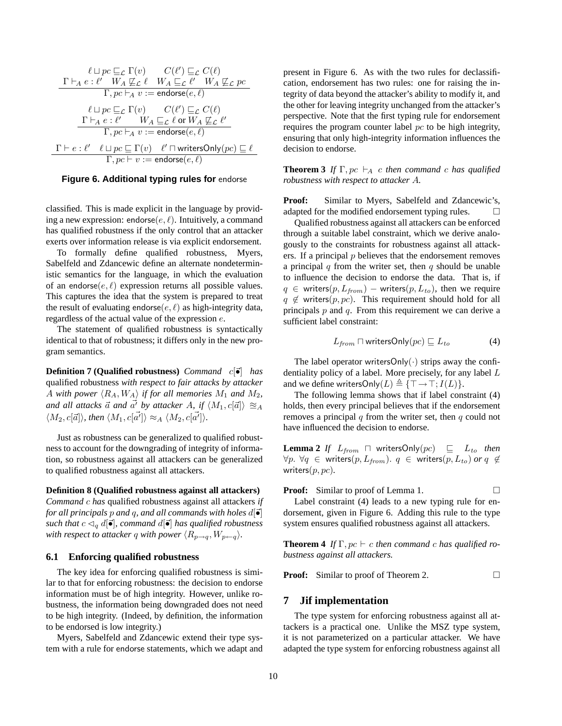$$
\ell \sqcup pc \sqsubseteq_{\mathcal{L}} \Gamma(v) \qquad C(\ell') \sqsubseteq_{\mathcal{L}} C(\ell)
$$
\n
$$
\frac{\Gamma \vdash_A e : \ell' \quad W_A \not\sqsubseteq_{\mathcal{L}} \ell \quad W_A \sqsubseteq_{\mathcal{L}} \ell' \quad W_A \not\sqsubseteq_{\mathcal{L}} pc}{\Gamma, pc \vdash_A v := \mathsf{endorse}(e, \ell)}
$$
\n
$$
\ell \sqcup pc \sqsubseteq_{\mathcal{L}} \Gamma(v) \qquad C(\ell') \sqsubseteq_{\mathcal{L}} C(\ell)
$$
\n
$$
\frac{\Gamma \vdash_A e : \ell' \quad W_A \sqsubseteq_{\mathcal{L}} \ell \text{ or } W_A \not\sqsubseteq_{\mathcal{L}} \ell'}{\Gamma, pc \vdash_A v := \mathsf{endorse}(e, \ell)}
$$
\n
$$
\frac{\Gamma \vdash e : \ell' \quad \ell \sqcup pc \sqsubseteq \Gamma(v) \quad \ell' \sqcap \mathsf{writersOnly}(pc) \sqsubseteq \ell}{\Gamma, pc \vdash v := \mathsf{endorse}(e, \ell)}
$$

#### **Figure 6. Additional typing rules for** endorse

classified. This is made explicit in the language by providing a new expression: endorse $(e, \ell)$ . Intuitively, a command has qualified robustness if the only control that an attacker exerts over information release is via explicit endorsement.

To formally define qualified robustness, Myers, Sabelfeld and Zdancewic define an alternate nondeterministic semantics for the language, in which the evaluation of an endorse $(e, \ell)$  expression returns all possible values. This captures the idea that the system is prepared to treat the result of evaluating endorse( $e, \ell$ ) as high-integrity data, regardless of the actual value of the expression e.

The statement of qualified robustness is syntactically identical to that of robustness; it differs only in the new program semantics.

**Definition 7 (Qualified robustness)** *Command* c[~•] *has* qualified robustness *with respect to fair attacks by attacker* A with power  $\langle R_A, W_A \rangle$  if for all memories  $M_1$  and  $M_2$ , *and all attacks*  $\vec{a}$  *and*  $\vec{a'}$  *by attacker* A, if  $\langle M_1, c[\vec{a}] \rangle \cong_A$  $\langle M_2, c[\vec{a}] \rangle$ , then  $\langle M_1, c[\vec{a'}] \rangle \approx_A \langle M_2, c[\vec{a'}] \rangle$ .

Just as robustness can be generalized to qualified robustness to account for the downgrading of integrity of information, so robustness against all attackers can be generalized to qualified robustness against all attackers.

#### **Definition 8 (Qualified robustness against all attackers)**

*Command* c *has* qualified robustness against all attackers *if for all principals*  $p$  *and*  $q$ *, and all commands with holes*  $d\vec{\bullet}$ *such that*  $c \lhd_q d[\vec{\bullet}]$ *, command*  $d[\vec{\bullet}]$  *has qualified robustness with respect to attacker q with power*  $\langle R_{p\rightarrow q}, W_{p\leftarrow q} \rangle$ *.* 

#### **6.1 Enforcing qualified robustness**

The key idea for enforcing qualified robustness is similar to that for enforcing robustness: the decision to endorse information must be of high integrity. However, unlike robustness, the information being downgraded does not need to be high integrity. (Indeed, by definition, the information to be endorsed is low integrity.)

Myers, Sabelfeld and Zdancewic extend their type system with a rule for endorse statements, which we adapt and present in Figure 6. As with the two rules for declassification, endorsement has two rules: one for raising the integrity of data beyond the attacker's ability to modify it, and the other for leaving integrity unchanged from the attacker's perspective. Note that the first typing rule for endorsement requires the program counter label pc to be high integrity, ensuring that only high-integrity information influences the decision to endorse.

**Theorem 3** *If*  $\Gamma$ ,  $pc \vdash_A c$  *then command c has qualified robustness with respect to attacker* A*.*

Proof: Similar to Myers, Sabelfeld and Zdancewic's, adapted for the modified endorsement typing rules.  $\Box$ 

Qualified robustness against all attackers can be enforced through a suitable label constraint, which we derive analogously to the constraints for robustness against all attackers. If a principal  $p$  believes that the endorsement removes a principal q from the writer set, then q should be unable to influence the decision to endorse the data. That is, if  $q \in$  writers(p,  $L_{from}$ ) – writers(p,  $L_{to}$ ), then we require  $q \notin$  writers(p, pc). This requirement should hold for all principals  $p$  and  $q$ . From this requirement we can derive a sufficient label constraint:

$$
L_{from} \sqcap writersOnly(pc) \sqsubseteq L_{to}
$$
 (4)

The label operator writersOnly $(\cdot)$  strips away the confidentiality policy of a label. More precisely, for any label L and we define writersOnly $(L) \triangleq {\{\top \rightarrow \top; I(L)\}}$ .

The following lemma shows that if label constraint (4) holds, then every principal believes that if the endorsement removes a principal  $q$  from the writer set, then  $q$  could not have influenced the decision to endorse.

**Lemma 2** *If*  $L_{from}$   $\Box$  writersOnly(pc)  $\Box$   $L_{to}$  then  $\forall p. \forall q \in \text{writes}(p, L_{from})$ .  $q \in \text{writes}(p, L_{to})$  or  $q \notin$ writers(p, pc)*.*

**Proof:** Similar to proof of Lemma 1. 
$$
\Box
$$

Label constraint (4) leads to a new typing rule for endorsement, given in Figure 6. Adding this rule to the type system ensures qualified robustness against all attackers.

**Theorem 4** *If*  $\Gamma$ ,  $pc \vdash c$  *then command c has qualified robustness against all attackers.*

**Proof:** Similar to proof of Theorem 2. □

### **7 Jif implementation**

The type system for enforcing robustness against all attackers is a practical one. Unlike the MSZ type system, it is not parameterized on a particular attacker. We have adapted the type system for enforcing robustness against all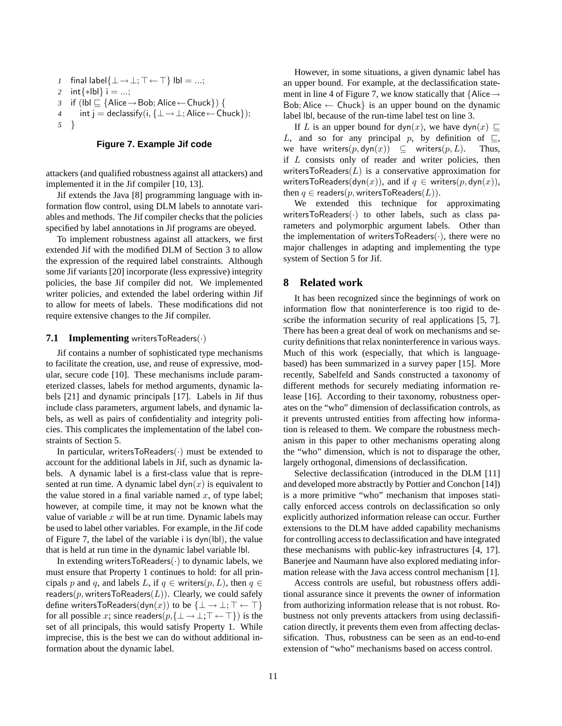```
1 final label\{\bot \rightarrow \bot; \top \leftarrow \top\} lbl = ...;
2 int{∗lbl} i = ...;
3 if (lbl \sqsubseteq {Alice → Bob; Alice ← Chuck}) {
4 int j = declassify(i, {\perp \rightarrow \perp; Alice ← Chuck});
5 }
```
### **Figure 7. Example Jif code**

attackers (and qualified robustness against all attackers) and implemented it in the Jif compiler [10, 13].

Jif extends the Java [8] programming language with information flow control, using DLM labels to annotate variables and methods. The Jif compiler checks that the policies specified by label annotations in Jif programs are obeyed.

To implement robustness against all attackers, we first extended Jif with the modified DLM of Section 3 to allow the expression of the required label constraints. Although some Jif variants [20] incorporate (less expressive) integrity policies, the base Jif compiler did not. We implemented writer policies, and extended the label ordering within Jif to allow for meets of labels. These modifications did not require extensive changes to the Jif compiler.

### **7.1 Implementing** writersToReaders(·)

Jif contains a number of sophisticated type mechanisms to facilitate the creation, use, and reuse of expressive, modular, secure code [10]. These mechanisms include parameterized classes, labels for method arguments, dynamic labels [21] and dynamic principals [17]. Labels in Jif thus include class parameters, argument labels, and dynamic labels, as well as pairs of confidentiality and integrity policies. This complicates the implementation of the label constraints of Section 5.

In particular, writersToReaders $(\cdot)$  must be extended to account for the additional labels in Jif, such as dynamic labels. A dynamic label is a first-class value that is represented at run time. A dynamic label  $dyn(x)$  is equivalent to the value stored in a final variable named  $x$ , of type label; however, at compile time, it may not be known what the value of variable  $x$  will be at run time. Dynamic labels may be used to label other variables. For example, in the Jif code of Figure 7, the label of the variable i is dyn(lbl), the value that is held at run time in the dynamic label variable lbl.

In extending writers $ToReaders(·)$  to dynamic labels, we must ensure that Property 1 continues to hold: for all principals p and q, and labels L, if  $q \in$  writers $(p, L)$ , then  $q \in$ readers( $p$ , writersToReaders( $L$ )). Clearly, we could safely define writersToReaders(dyn(x)) to be  $\{\bot \to \bot; \top \leftarrow \top\}$ for all possible x; since readers $(p, \{\perp \rightarrow \perp; \top \leftarrow \top\})$  is the set of all principals, this would satisfy Property 1. While imprecise, this is the best we can do without additional information about the dynamic label.

However, in some situations, a given dynamic label has an upper bound. For example, at the declassification statement in line 4 of Figure 7, we know statically that  $\{$ Alice  $\rightarrow$ Bob; Alice  $\leftarrow$  Chuck} is an upper bound on the dynamic label lbl, because of the run-time label test on line 3.

If L is an upper bound for dyn(x), we have dyn(x)  $\Box$ L, and so for any principal p, by definition of  $\sqsubseteq$ , we have writers $(p, \text{dyn}(x)) \subseteq$  writers $(p, L)$ . Thus, if  $L$  consists only of reader and writer policies, then writersToReaders $(L)$  is a conservative approximation for writersToReaders(dyn(x)), and if  $q \in$  writers(p, dyn(x)), then  $q \in$  readers(p, writersToReaders(L)).

We extended this technique for approximating writersToReaders $(\cdot)$  to other labels, such as class parameters and polymorphic argument labels. Other than the implementation of writersToReaders $(\cdot)$ , there were no major challenges in adapting and implementing the type system of Section 5 for Jif.

### **8 Related work**

It has been recognized since the beginnings of work on information flow that noninterference is too rigid to describe the information security of real applications [5, 7]. There has been a great deal of work on mechanisms and security definitions that relax noninterference in various ways. Much of this work (especially, that which is languagebased) has been summarized in a survey paper [15]. More recently, Sabelfeld and Sands constructed a taxonomy of different methods for securely mediating information release [16]. According to their taxonomy, robustness operates on the "who" dimension of declassification controls, as it prevents untrusted entities from affecting how information is released to them. We compare the robustness mechanism in this paper to other mechanisms operating along the "who" dimension, which is not to disparage the other, largely orthogonal, dimensions of declassification.

Selective declassification (introduced in the DLM [11] and developed more abstractly by Pottier and Conchon [14]) is a more primitive "who" mechanism that imposes statically enforced access controls on declassification so only explicitly authorized information release can occur. Further extensions to the DLM have added capability mechanisms for controlling access to declassification and have integrated these mechanisms with public-key infrastructures [4, 17]. Banerjee and Naumann have also explored mediating information release with the Java access control mechanism [1].

Access controls are useful, but robustness offers additional assurance since it prevents the owner of information from authorizing information release that is not robust. Robustness not only prevents attackers from using declassification directly, it prevents them even from affecting declassification. Thus, robustness can be seen as an end-to-end extension of "who" mechanisms based on access control.